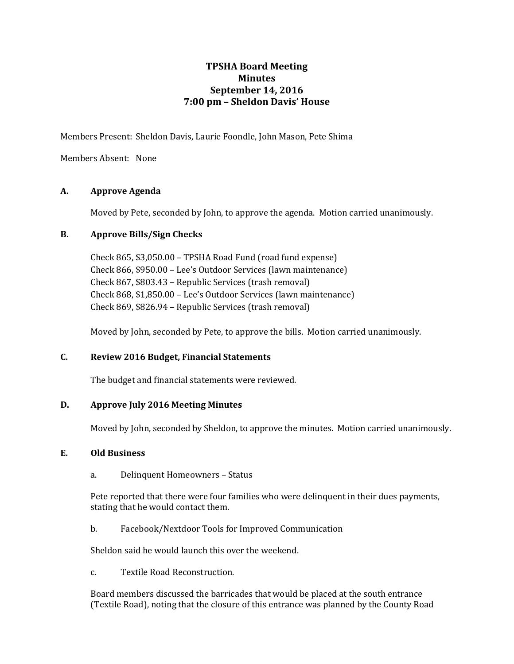# **TPSHA Board Meeting Minutes September 14, 2016 7:00 pm – Sheldon Davis' House**

Members Present: Sheldon Davis, Laurie Foondle, John Mason, Pete Shima

Members Absent: None

# **A. Approve Agenda**

Moved by Pete, seconded by John, to approve the agenda. Motion carried unanimously.

# **B. Approve Bills/Sign Checks**

Check 865, \$3,050.00 – TPSHA Road Fund (road fund expense) Check 866, \$950.00 – Lee's Outdoor Services (lawn maintenance) Check 867, \$803.43 – Republic Services (trash removal) Check 868, \$1,850.00 – Lee's Outdoor Services (lawn maintenance) Check 869, \$826.94 – Republic Services (trash removal)

Moved by John, seconded by Pete, to approve the bills. Motion carried unanimously.

# **C. Review 2016 Budget, Financial Statements**

The budget and financial statements were reviewed.

# **D. Approve July 2016 Meeting Minutes**

Moved by John, seconded by Sheldon, to approve the minutes. Motion carried unanimously.

# **E. Old Business**

a. Delinquent Homeowners – Status

Pete reported that there were four families who were delinquent in their dues payments, stating that he would contact them.

b. Facebook/Nextdoor Tools for Improved Communication

Sheldon said he would launch this over the weekend.

c. Textile Road Reconstruction.

Board members discussed the barricades that would be placed at the south entrance (Textile Road), noting that the closure of this entrance was planned by the County Road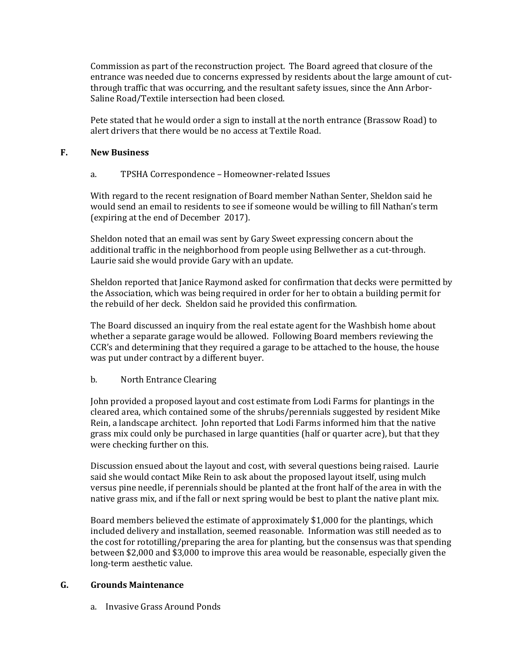Commission as part of the reconstruction project. The Board agreed that closure of the entrance was needed due to concerns expressed by residents about the large amount of cutthrough traffic that was occurring, and the resultant safety issues, since the Ann Arbor-Saline Road/Textile intersection had been closed.

Pete stated that he would order a sign to install at the north entrance (Brassow Road) to alert drivers that there would be no access at Textile Road.

### **F. New Business**

### a. TPSHA Correspondence – Homeowner-related Issues

With regard to the recent resignation of Board member Nathan Senter, Sheldon said he would send an email to residents to see if someone would be willing to fill Nathan's term (expiring at the end of December 2017).

Sheldon noted that an email was sent by Gary Sweet expressing concern about the additional traffic in the neighborhood from people using Bellwether as a cut-through. Laurie said she would provide Gary with an update.

Sheldon reported that Janice Raymond asked for confirmation that decks were permitted by the Association, which was being required in order for her to obtain a building permit for the rebuild of her deck. Sheldon said he provided this confirmation.

The Board discussed an inquiry from the real estate agent for the Washbish home about whether a separate garage would be allowed. Following Board members reviewing the CCR's and determining that they required a garage to be attached to the house, the house was put under contract by a different buyer.

# b. North Entrance Clearing

John provided a proposed layout and cost estimate from Lodi Farms for plantings in the cleared area, which contained some of the shrubs/perennials suggested by resident Mike Rein, a landscape architect. John reported that Lodi Farms informed him that the native grass mix could only be purchased in large quantities (half or quarter acre), but that they were checking further on this.

Discussion ensued about the layout and cost, with several questions being raised. Laurie said she would contact Mike Rein to ask about the proposed layout itself, using mulch versus pine needle, if perennials should be planted at the front half of the area in with the native grass mix, and if the fall or next spring would be best to plant the native plant mix.

Board members believed the estimate of approximately \$1,000 for the plantings, which included delivery and installation, seemed reasonable. Information was still needed as to the cost for rototilling/preparing the area for planting, but the consensus was that spending between \$2,000 and \$3,000 to improve this area would be reasonable, especially given the long-term aesthetic value.

### **G. Grounds Maintenance**

a. Invasive Grass Around Ponds